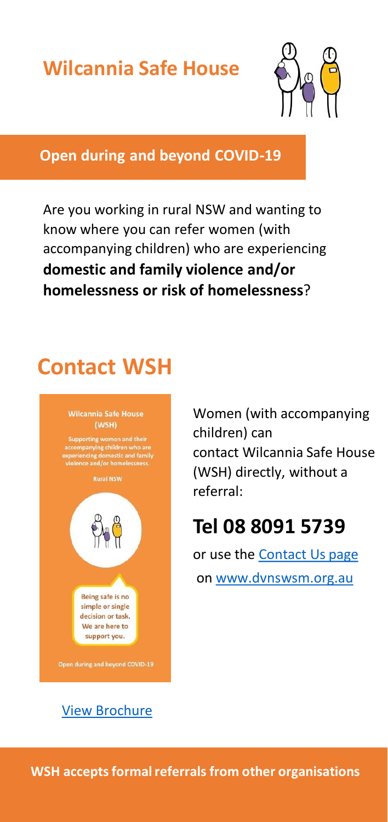## **Wilcannia Safe House**



#### **Open during and beyond COVID-19**

Are you working in rural NSW and wanting to know where you can refer women (with accompanying children) who are experiencing **domestic and family violence and/or homelessness or risk of homelessness**?

# **Contact WSH**



Women (with accompanying children) can contact Wilcannia Safe House (WSH) directly, without a referral:

## **Tel 08 8091 5739**

or use the [Contact Us page](https://dvnswsm.org.au/contact/) on [www.dvnswsm.org.au](http://www.dvnswsm.org.au/)

[View Brochure](https://dvnswsm.org.au/wp-content/uploads/2020/05/WSH-Brochure-Final-2020-.pdf)

**WSH accepts formal referrals from other organisations**